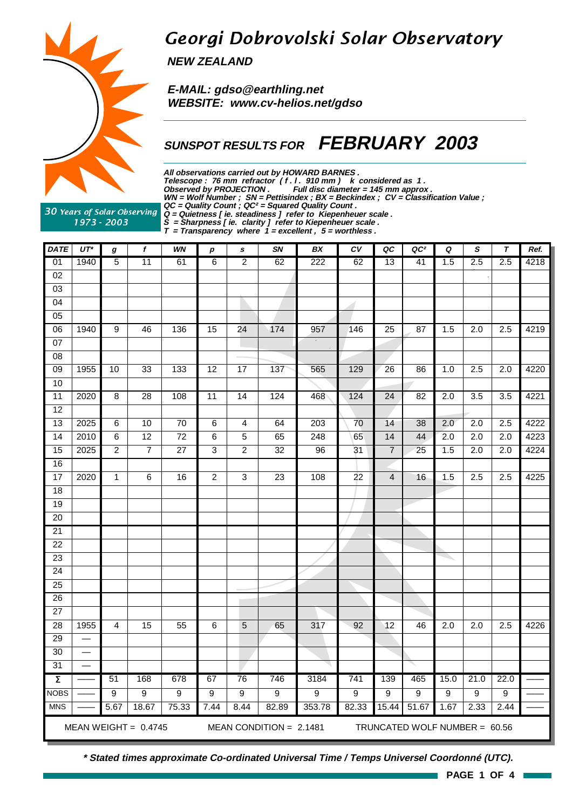

## Georgi Dobrovolski Solar Observatory

**NEW ZEALAND**

 **E-MAIL: gdso@earthling.net WEBSITE: www.cv-helios.net/gdso**

## **SUNSPOT RESULTS FOR FEBRUARY 2003**

**All observations carried out by HOWARD BARNES .** Telescope : 76 mm refractor (f. l. 910 mm) k considered as 1. **Observed by PROJECTION . Full disc diameter = 145 mm approx . WN = Wolf Number ; SN = Pettisindex ; BX = Beckindex ; CV = Classification Value ; QC = Quality Count ; QC² = Squared Quality Count . Q = Quietness [ ie. steadiness ] refer to Kiepenheuer scale .**

30 Years of Solar Observing 1973 - 2003

**S = Sharpness [ ie. clarity ] refer to Kiepenheuer scale .**

**T = Transparency where 1 = excellent , 5 = worthless .**

| <b>DATE</b>         | $UT^*$                   | g                | f                      | WN              | $\boldsymbol{p}$ | s                | SN                        | BX     | $\boldsymbol{c}\boldsymbol{v}$ | QC              | QC <sup>2</sup> | Q                | $\boldsymbol{s}$              | $\tau$           | Ref. |  |  |  |  |  |
|---------------------|--------------------------|------------------|------------------------|-----------------|------------------|------------------|---------------------------|--------|--------------------------------|-----------------|-----------------|------------------|-------------------------------|------------------|------|--|--|--|--|--|
| $\overline{01}$     | 1940                     | $\overline{5}$   | 11                     | 61              | 6                | $\overline{2}$   | 62                        | 222    | 62                             | 13              | 41              | 1.5              | 2.5                           | 2.5              | 4218 |  |  |  |  |  |
| $\overline{02}$     |                          |                  |                        |                 |                  |                  |                           |        |                                |                 |                 |                  |                               |                  |      |  |  |  |  |  |
| $\overline{03}$     |                          |                  |                        |                 |                  |                  |                           |        |                                |                 |                 |                  |                               |                  |      |  |  |  |  |  |
| 04                  |                          |                  |                        |                 |                  |                  |                           |        | -1                             |                 |                 |                  |                               |                  |      |  |  |  |  |  |
| $\overline{05}$     |                          |                  |                        |                 |                  |                  |                           |        |                                |                 |                 |                  |                               |                  |      |  |  |  |  |  |
| 06                  | 1940                     | $\overline{9}$   | 46                     | 136             | 15               | 24               | 174                       | 957    | 146                            | 25              | 87              | 1.5              | 2.0                           | 2.5              | 4219 |  |  |  |  |  |
| 07                  |                          |                  |                        |                 |                  |                  |                           |        |                                |                 |                 |                  |                               |                  |      |  |  |  |  |  |
| $\overline{08}$     |                          |                  |                        |                 |                  |                  |                           |        |                                |                 |                 |                  |                               |                  |      |  |  |  |  |  |
| 09                  | 1955                     | 10               | 33                     | 133             | 12               | 17               | 137                       | 565    | 129                            | 26              | 86              | 1.0              | 2.5                           | 2.0              | 4220 |  |  |  |  |  |
| 10                  |                          |                  |                        |                 |                  |                  |                           |        |                                |                 |                 |                  |                               |                  |      |  |  |  |  |  |
| $\overline{11}$     | 2020                     | $\overline{8}$   | $\overline{28}$        | 108             | $\overline{11}$  | $\overline{14}$  | 124                       | 468    | $124$                          | $\overline{24}$ | 82              | $\overline{2.0}$ | 3.5                           | 3.5              | 4221 |  |  |  |  |  |
| $\overline{12}$     |                          |                  |                        |                 |                  |                  |                           |        |                                |                 |                 |                  |                               |                  |      |  |  |  |  |  |
| $\overline{13}$     | 2025                     | $\,6$            | 10                     | $\overline{70}$ | $\overline{6}$   | 4                | 64                        | 203    | 70                             | 14              | 38              | 2.0              | $\overline{2.0}$              | $\overline{2.5}$ | 4222 |  |  |  |  |  |
| $\overline{14}$     | 2010                     | 6                | $\overline{12}$        | $\overline{72}$ | $\,6$            | 5                | 65                        | 248    | 65                             | 14              | 44              | $\overline{2.0}$ | $\overline{2.0}$              | $\overline{2.0}$ | 4223 |  |  |  |  |  |
| 15                  | 2025                     | $\boldsymbol{2}$ | $\overline{7}$         | 27              | 3                | $\boldsymbol{2}$ | 32                        | 96     | 31                             | $\overline{7}$  | 25              | 1.5              | 2.0                           | 2.0              | 4224 |  |  |  |  |  |
| 16                  |                          |                  |                        |                 |                  |                  |                           |        |                                |                 |                 |                  |                               |                  |      |  |  |  |  |  |
| 17                  | 2020                     | 1                | $\overline{6}$         | 16              | $\overline{2}$   | 3                | $\overline{23}$           | 108    | $\overline{22}$                | 4               | 16              | 1.5              | 2.5                           | 2.5              | 4225 |  |  |  |  |  |
| $\overline{18}$     |                          |                  |                        |                 |                  |                  |                           |        |                                |                 |                 |                  |                               |                  |      |  |  |  |  |  |
| 19                  |                          |                  |                        |                 |                  |                  |                           |        |                                |                 |                 |                  |                               |                  |      |  |  |  |  |  |
| 20                  |                          |                  |                        |                 |                  |                  |                           |        |                                |                 |                 |                  |                               |                  |      |  |  |  |  |  |
| $\overline{21}$     |                          |                  |                        |                 |                  |                  |                           |        |                                |                 |                 |                  |                               |                  |      |  |  |  |  |  |
| $\overline{22}$     |                          |                  |                        |                 |                  |                  |                           |        |                                |                 |                 |                  |                               |                  |      |  |  |  |  |  |
| $\overline{23}$     |                          |                  |                        |                 |                  |                  |                           |        |                                |                 |                 |                  |                               |                  |      |  |  |  |  |  |
| $\overline{24}$     |                          |                  |                        |                 |                  |                  |                           |        |                                |                 |                 |                  |                               |                  |      |  |  |  |  |  |
| $\overline{25}$     |                          |                  |                        |                 |                  |                  |                           |        |                                |                 |                 |                  |                               |                  |      |  |  |  |  |  |
| 26                  |                          |                  |                        |                 |                  |                  |                           |        |                                |                 |                 |                  |                               |                  |      |  |  |  |  |  |
| $\overline{27}$     |                          |                  |                        |                 |                  |                  |                           |        |                                |                 |                 |                  |                               |                  |      |  |  |  |  |  |
| 28                  | 1955                     | $\overline{4}$   | 15                     | 55              | 6                | 5                | 65                        | 317    | 92                             | $\overline{12}$ | 46              | 2.0              | 2.0                           | 2.5              | 4226 |  |  |  |  |  |
| 29                  | $\overline{\phantom{0}}$ |                  |                        |                 |                  |                  |                           |        |                                |                 |                 |                  |                               |                  |      |  |  |  |  |  |
| 30                  | $\overline{\phantom{0}}$ |                  |                        |                 |                  |                  |                           |        |                                |                 |                 |                  |                               |                  |      |  |  |  |  |  |
| $\overline{31}$     | $\overline{\phantom{0}}$ |                  |                        |                 |                  |                  |                           |        |                                |                 |                 |                  |                               |                  |      |  |  |  |  |  |
| $\overline{\Sigma}$ |                          | 51               | 168                    | 678             | 67               | 76               | 746                       | 3184   | $\overline{741}$               | 139             | 465             | 15.0             | 21.0                          | 22.0             |      |  |  |  |  |  |
| <b>NOBS</b>         |                          | $\overline{9}$   | $\overline{9}$         | $\overline{9}$  | $\overline{9}$   | $\overline{9}$   | $\overline{9}$            | 9      | $\overline{9}$                 | $\overline{9}$  | $\overline{9}$  | $\overline{9}$   | $\overline{9}$                | $\overline{9}$   |      |  |  |  |  |  |
| <b>MNS</b>          |                          | 5.67             | 18.67                  | 75.33           | 7.44             | 8.44             | 82.89                     | 353.78 | 82.33                          | 15.44           | 51.67           | 1.67             | 2.33                          | 2.44             |      |  |  |  |  |  |
|                     |                          |                  | MEAN WEIGHT = $0.4745$ |                 |                  |                  | MEAN CONDITION = $2.1481$ |        |                                |                 |                 |                  | TRUNCATED WOLF NUMBER = 60.56 |                  |      |  |  |  |  |  |

**\* Stated times approximate Co-ordinated Universal Time / Temps Universel Coordonné (UTC).**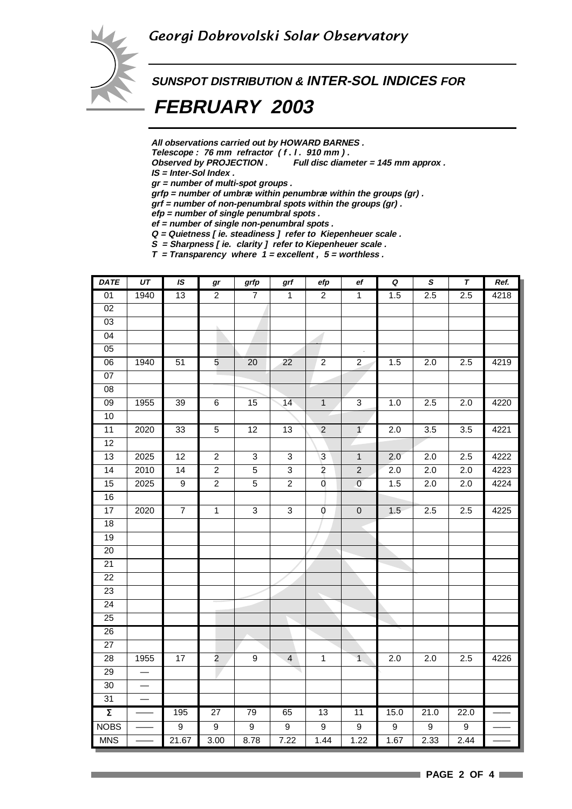

# **SUNSPOT DISTRIBUTION & INTER-SOL INDICES FOR FEBRUARY 2003**

**All observations carried out by HOWARD BARNES .**

Telescope : 76 mm refractor (f. l. 910 mm).<br>Observed by PROJECTION . Full disc diam

Full disc diameter = 145 mm approx .

**IS = Inter-Sol Index .**

**gr = number of multi-spot groups .**

**grfp = number of umbræ within penumbræ within the groups (gr) .**

**grf = number of non-penumbral spots within the groups (gr) .**

**efp = number of single penumbral spots .**

**ef = number of single non-penumbral spots . Q = Quietness [ ie. steadiness ] refer to Kiepenheuer scale .**

**S = Sharpness [ ie. clarity ] refer to Kiepenheuer scale .**

**T = Transparency where 1 = excellent , 5 = worthless .**

| <b>DATE</b>         | UT   | IS               | gr              | $grfp$                    | grf                       | efp                     | ef             | $\pmb Q$         | $\pmb{s}$        | T                | Ref. |
|---------------------|------|------------------|-----------------|---------------------------|---------------------------|-------------------------|----------------|------------------|------------------|------------------|------|
| 01                  | 1940 | 13               | $\overline{2}$  | $\overline{7}$            | $\overline{1}$            | $\overline{2}$          | $\overline{1}$ | 1.5              | 2.5              | 2.5              | 4218 |
| $\overline{02}$     |      |                  |                 |                           |                           |                         |                |                  |                  |                  |      |
| 03                  |      |                  |                 |                           |                           |                         |                |                  |                  |                  |      |
| $\overline{04}$     |      |                  |                 |                           |                           |                         |                |                  |                  |                  |      |
| 05                  |      |                  |                 |                           |                           |                         |                |                  |                  |                  |      |
| $\overline{06}$     | 1940 | 51               | $5\overline{)}$ | 20                        | 22                        | $\overline{c}$          | $\overline{2}$ | 1.5              | 2.0              | 2.5              | 4219 |
| 07                  |      |                  |                 |                           |                           |                         |                |                  |                  |                  |      |
| $\overline{08}$     |      |                  |                 |                           |                           |                         |                |                  |                  |                  |      |
| $\overline{09}$     | 1955 | 39               | $\overline{6}$  | 15                        | 14                        | $\overline{1}$          | $\overline{3}$ | 1.0              | 2.5              | $\overline{2.0}$ | 4220 |
| 10                  |      |                  |                 |                           |                           |                         |                |                  |                  |                  |      |
| 11                  | 2020 | 33               | $\overline{5}$  | $\overline{12}$           | $\overline{13}$           | $\overline{2}$          | $\overline{1}$ | $\overline{2.0}$ | $\overline{3.5}$ | $\overline{3.5}$ | 4221 |
| 12                  |      |                  |                 |                           |                           |                         |                |                  |                  |                  |      |
| $\overline{13}$     | 2025 | $\overline{12}$  | $\overline{2}$  | $\ensuremath{\mathsf{3}}$ | $\ensuremath{\mathsf{3}}$ | $\mathbf{3}$            | $\mathbf{1}$   | $\overline{2.0}$ | $\overline{2.0}$ | $\overline{2.5}$ | 4222 |
| $\overline{14}$     | 2010 | $\overline{14}$  | $\overline{2}$  | $\,$ 5 $\,$               | $\ensuremath{\mathsf{3}}$ | $\overline{\mathbf{c}}$ | $\sqrt{2}$     | 2.0              | 2.0              | $2.0\,$          | 4223 |
| 15                  | 2025 | $\overline{9}$   | $\overline{2}$  | $\overline{5}$            | $\overline{c}$            | 0                       | $\overline{0}$ | 1.5              | 2.0              | 2.0              | 4224 |
| 16                  |      |                  |                 |                           |                           |                         |                |                  |                  |                  |      |
| 17                  | 2020 | $\boldsymbol{7}$ | $\mathbf{1}$    | 3                         | $\ensuremath{\mathsf{3}}$ | 0                       | $\mathbf 0$    | 1.5              | 2.5              | 2.5              | 4225 |
| 18                  |      |                  |                 |                           |                           |                         |                |                  |                  |                  |      |
| 19                  |      |                  |                 |                           |                           |                         |                |                  |                  |                  |      |
| $\overline{20}$     |      |                  |                 |                           |                           |                         |                |                  |                  |                  |      |
| $\overline{21}$     |      |                  |                 |                           |                           |                         |                |                  |                  |                  |      |
| $\overline{22}$     |      |                  |                 |                           |                           |                         |                |                  |                  |                  |      |
| 23                  |      |                  |                 |                           |                           |                         |                |                  |                  |                  |      |
| 24                  |      |                  |                 |                           |                           |                         |                |                  |                  |                  |      |
| 25                  |      |                  |                 |                           |                           |                         |                |                  |                  |                  |      |
| 26                  |      |                  |                 |                           |                           |                         |                |                  |                  |                  |      |
| $\overline{27}$     |      |                  |                 |                           |                           |                         |                |                  |                  |                  |      |
| 28                  | 1955 | 17               | $\overline{2}$  | $\boldsymbol{9}$          | $\overline{4}$            | $\mathbf{1}$            | $\overline{1}$ | 2.0              | 2.0              | 2.5              | 4226 |
| $\overline{29}$     |      |                  |                 |                           |                           |                         |                |                  |                  |                  |      |
| 30                  |      |                  |                 |                           |                           |                         |                |                  |                  |                  |      |
| $\overline{31}$     |      |                  |                 |                           |                           |                         |                |                  |                  |                  |      |
| $\overline{\Sigma}$ |      | 195              | $\overline{27}$ | 79                        | 65                        | 13                      | 11             | 15.0             | 21.0             | 22.0             |      |
| <b>NOBS</b>         |      | $\overline{9}$   | $\overline{9}$  | $\overline{9}$            | $\overline{9}$            | $\overline{9}$          | $\overline{9}$ | $\overline{9}$   | $\overline{9}$   | $\overline{9}$   |      |
| <b>MNS</b>          |      | 21.67            | 3.00            | 8.78                      | 7.22                      | 1.44                    | 1.22           | 1.67             | 2.33             | 2.44             |      |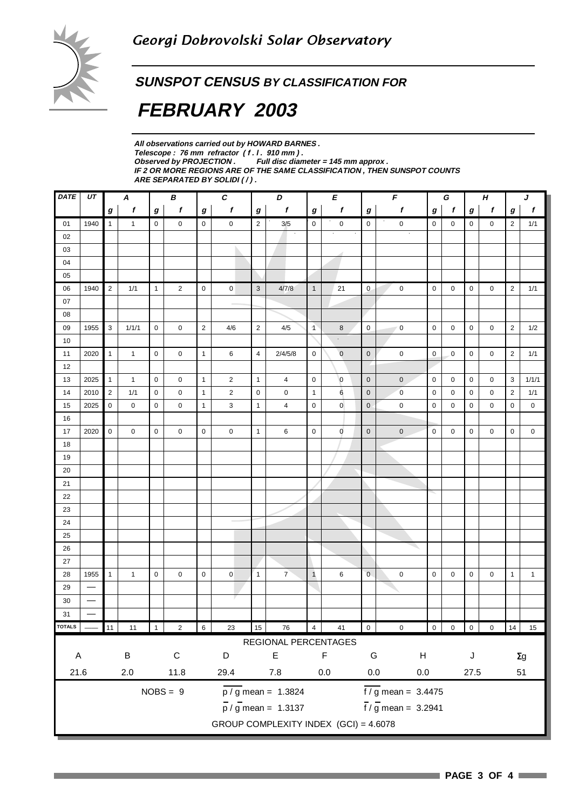### **SUNSPOT CENSUS BY CLASSIFICATION FOR**

# **FEBRUARY 2003**

**All observations carried out by HOWARD BARNES .** Telescope : 76 mm refractor (f. l. 910 mm).<br>Observed by PROJECTION . Full disc dian Full disc diameter = 145 mm approx . **IF 2 OR MORE REGIONS ARE OF THE SAME CLASSIFICATION , THEN SUNSPOT COUNTS ARE SEPARATED BY SOLIDI ( / ) .**

| <b>DATE</b>   | $U\!T$                   | $\pmb{c}$<br>В<br>A |              |                  |                  | D                |                | E                | $\overline{F}$                        |                | G              |                         | $H_{\rm}$                   |                | J           |                |                |                |                  |
|---------------|--------------------------|---------------------|--------------|------------------|------------------|------------------|----------------|------------------|---------------------------------------|----------------|----------------|-------------------------|-----------------------------|----------------|-------------|----------------|----------------|----------------|------------------|
|               |                          | $\bm{g}$            | f            | $\boldsymbol{g}$ | $\boldsymbol{f}$ | $\bm{g}$         | f              | $\boldsymbol{g}$ | f                                     | $\bm{g}$       | f              | $\boldsymbol{g}$        | f                           | g              | $\mathbf f$ | g              | f              | g              | $\boldsymbol{f}$ |
| 01            | 1940                     | $\overline{1}$      | $\mathbf{1}$ | $\mathbf 0$      | $\mathbf 0$      | $\mathbf 0$      | 0              | $\overline{2}$   | 3/5                                   | $\mathbf 0$    | $\mathbf 0$    | $\mathbf 0$             | $\boldsymbol{0}$            | $\mathsf 0$    | 0           | 0              | 0              | 2              | 1/1              |
| 02            |                          |                     |              |                  |                  |                  |                |                  |                                       |                |                |                         |                             |                |             |                |                |                |                  |
| 03            |                          |                     |              |                  |                  |                  |                |                  |                                       |                |                |                         |                             |                |             |                |                |                |                  |
| 04            |                          |                     |              |                  |                  |                  |                |                  |                                       |                |                |                         |                             |                |             |                |                |                |                  |
| 05            |                          |                     |              |                  |                  |                  |                |                  |                                       |                |                |                         |                             |                |             |                |                |                |                  |
| 06            | 1940                     | $\overline{2}$      | 1/1          | $\mathbf{1}$     | $\overline{2}$   | $\mathbf 0$      | $\mathbf 0$    | $\mathbf{3}$     | 4/7/8                                 | $\mathbf{1}$   | 21             | $\mathbf 0$             | $\pmb{0}$                   | $\mathbf 0$    | 0           | 0              | 0              | $\overline{2}$ | 1/1              |
| 07            |                          |                     |              |                  |                  |                  |                |                  |                                       |                |                |                         |                             |                |             |                |                |                |                  |
| 08            |                          |                     |              |                  |                  |                  |                |                  |                                       |                |                |                         |                             |                |             |                |                |                |                  |
| 09            | 1955                     | 3                   | 1/1/1        | 0                | $\mathbf 0$      | $\overline{2}$   | 4/6            | $\overline{c}$   | 4/5                                   | $\mathbf{1}$   | 8              | $\mathbf 0$             | $\mathbf 0$                 | $\mathbf 0$    | 0           | $\mathbf 0$    | 0              | $\overline{2}$ | 1/2              |
| 10            |                          |                     |              |                  |                  |                  |                |                  |                                       |                | ò.             |                         |                             |                |             |                |                |                |                  |
| 11            | 2020                     | $\mathbf{1}$        | $\mathbf{1}$ | $\mathbf 0$      | 0                | $\mathbf{1}$     | 6              | 4                | 2/4/5/8                               | $\mathbf 0$    | $\mathbf 0$    | $\mathbf 0$             | $\mathbf 0$                 | $\mathbf 0$    | 0           | 0              | 0              | $\overline{2}$ | 1/1              |
| 12            |                          |                     |              |                  |                  |                  |                |                  |                                       |                |                |                         |                             |                |             |                |                |                |                  |
| 13            | 2025                     | $\mathbf{1}$        | $\mathbf{1}$ | $\mathbf 0$      | $\mathbf 0$      | $\mathbf{1}$     | $\overline{2}$ | $\overline{1}$   | 4                                     | $\mathbf 0$    | $\overline{0}$ | $\mathbf 0$             | $\pmb{0}$                   | 0              | 0           | 0              | 0              | 3              | 1/1/1            |
| 14            | 2010                     | $\overline{2}$      | 1/1          | $\mathbf 0$      | $\mathbf 0$      | $\mathbf{1}$     | $\overline{2}$ | $\pmb{0}$        | 0                                     | $\mathbf{1}$   | 6              | $\pmb{0}$               | $\mathbf 0$                 | 0              | 0           | $\mathbf 0$    | 0              | $\overline{2}$ | 1/1              |
| 15            | 2025                     | 0                   | 0            | $\mathbf 0$      | $\mathbf 0$      | $\mathbf{1}$     | 3              | $\mathbf{1}$     | 4                                     | $\mathbf 0$    | $\mathbf 0$    | $\pmb{0}$               | $\pmb{0}$                   | 0              | 0           | 0              | 0              | $\mathbf 0$    | $\mathbf 0$      |
| 16            |                          |                     |              |                  |                  |                  |                |                  |                                       |                |                |                         |                             |                |             |                |                |                |                  |
| 17            | 2020                     | $\mathbf 0$         | 0            | $\mathbf 0$      | $\mathbf 0$      | $\mathbf 0$      | 0              | $\mathbf{1}$     | 6                                     | $\mathbf 0$    | $\mathbf 0$    | $\bf 0$                 | $\mathbf 0$                 | 0              | 0           | 0              | 0              | $\mathbf 0$    | $\mathbf 0$      |
| 18            |                          |                     |              |                  |                  |                  |                |                  |                                       |                |                |                         |                             |                |             |                |                |                |                  |
| 19            |                          |                     |              |                  |                  |                  |                |                  |                                       |                |                |                         |                             |                |             |                |                |                |                  |
| 20            |                          |                     |              |                  |                  |                  |                |                  |                                       |                |                |                         |                             |                |             |                |                |                |                  |
| 21            |                          |                     |              |                  |                  |                  |                |                  |                                       |                |                |                         |                             |                |             |                |                |                |                  |
| 22            |                          |                     |              |                  |                  |                  |                |                  |                                       |                |                |                         |                             |                |             |                |                |                |                  |
| 23            |                          |                     |              |                  |                  |                  |                |                  |                                       |                |                |                         |                             |                |             |                |                |                |                  |
| 24            |                          |                     |              |                  |                  |                  |                |                  |                                       |                |                |                         |                             |                |             |                |                |                |                  |
| 25            |                          |                     |              |                  |                  |                  |                |                  |                                       |                |                |                         |                             |                |             |                |                |                |                  |
| 26            |                          |                     |              |                  |                  |                  |                |                  |                                       |                |                |                         |                             |                |             |                |                |                |                  |
| 27            |                          |                     |              |                  |                  |                  |                |                  |                                       |                |                |                         |                             |                |             |                |                |                |                  |
| 28            | 1955                     | $\mathbf{1}$        | $\mathbf{1}$ | $\mathbf 0$      | $\mathbf 0$      | $\mathbf 0$      | $\overline{0}$ | $\overline{1}$   | $\overline{7}$                        | $\mathbf{1}$   | 6              | $\overline{0}$          | $\mathbf 0$                 | $\mathbf 0$    | 0           | 0              | 0              | $\mathbf{1}$   | $\mathbf{1}$     |
| 29            |                          |                     |              |                  |                  |                  |                |                  |                                       |                |                |                         |                             |                |             |                |                |                |                  |
| 30            |                          |                     |              |                  |                  |                  |                |                  |                                       |                |                |                         |                             |                |             |                |                |                |                  |
| 31            | $\overline{\phantom{0}}$ |                     |              |                  |                  |                  |                |                  |                                       |                |                |                         |                             |                |             |                |                |                |                  |
| <b>TOTALS</b> |                          | 11                  | $11$         |                  | $\sqrt{2}$       | $\boldsymbol{6}$ | 23             | 15               | 76                                    | $\overline{4}$ | 41             | $\overline{\mathbf{0}}$ | $\pmb{0}$                   | $\overline{0}$ | $\mathbf 0$ | $\overline{0}$ | $\overline{0}$ | 14             | 15               |
|               |                          |                     |              |                  |                  |                  |                |                  | REGIONAL PERCENTAGES                  |                |                |                         |                             |                |             |                |                |                |                  |
| A             |                          |                     | $\sf B$      |                  | $\mathsf C$      |                  | D              |                  | $\mathsf E$                           |                | F              | G                       | H                           |                |             | J              |                |                | $\Sigma g$       |
|               | 21.6                     |                     |              |                  |                  |                  |                |                  |                                       |                |                |                         |                             |                |             |                |                |                |                  |
|               |                          |                     | $2.0\,$      |                  | 11.8             |                  | 29.4           |                  | $7.8$                                 |                | $0.0\,$        | $0.0\,$                 | $0.0\,$                     |                |             | 27.5           |                |                | 51               |
|               |                          |                     |              |                  | $NOBS = 9$       |                  |                |                  | $\overline{p / g}$ mean = 1.3824      |                |                |                         | $\frac{1}{2}$ mean = 3.4475 |                |             |                |                |                |                  |
|               |                          |                     |              |                  |                  |                  |                |                  | $\frac{1}{p}$ / g mean = 1.3137       |                |                |                         | $\frac{1}{2}$ mean = 3.2941 |                |             |                |                |                |                  |
|               |                          |                     |              |                  |                  |                  |                |                  | GROUP COMPLEXITY INDEX (GCI) = 4.6078 |                |                |                         |                             |                |             |                |                |                |                  |
|               |                          |                     |              |                  |                  |                  |                |                  |                                       |                |                |                         |                             |                |             |                |                |                |                  |